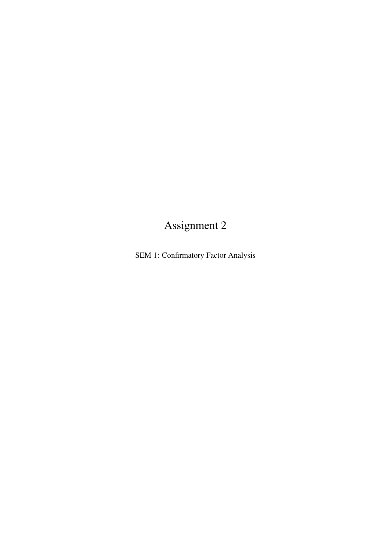# Assignment 2

SEM 1: Confirmatory Factor Analysis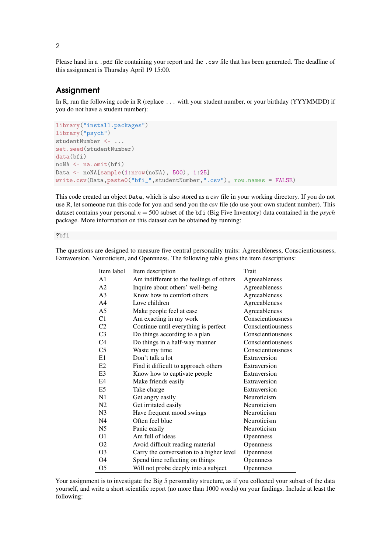Please hand in a .pdf file containing your report and the .csv file that has been generated. The deadline of this assignment is Thursday April 19 15:00.

## **Assignment**

In R, run the following code in R (replace ... with your student number, or your birthday (YYYMMDD) if you do not have a student number):

```
library("install.packages")
library("psych")
studentNumber <- ...
set.seed(studentNumber)
data(bfi)
noNA <- na.omit(bfi)
Data <- noNA[sample(1:nrow(noNA), 500), 1:25]
write.csv(Data,paste0("bfi_",studentNumber,".csv"), row.names = FALSE)
```
This code created an object Data, which is also stored as a csv file in your working directory. If you do not use R, let someone run this code for you and send you the csv file (do use your own student number). This dataset contains your personal *n* = 500 subset of the bfi (Big Five Inventory) data contained in the *psych* package. More information on this dataset can be obtained by running:

#### ?bfi

The questions are designed to measure five central personality traits: Agreeableness, Conscientiousness, Extraversion, Neuroticism, and Opennness. The following table gives the item descriptions:

| Item label     | Item description                         | <b>Trait</b>      |
|----------------|------------------------------------------|-------------------|
| A <sub>1</sub> | Am indifferent to the feelings of others | Agreeableness     |
| A <sub>2</sub> | Inquire about others' well-being         | Agreeableness     |
| A <sub>3</sub> | Know how to comfort others               | Agreeableness     |
| A <sub>4</sub> | Love children                            | Agreeableness     |
| A <sub>5</sub> | Make people feel at ease                 | Agreeableness     |
| C1             | Am exacting in my work                   | Conscientiousness |
| C <sub>2</sub> | Continue until everything is perfect     | Conscientiousness |
| C <sub>3</sub> | Do things according to a plan            | Conscientiousness |
| C <sub>4</sub> | Do things in a half-way manner           | Conscientiousness |
| C <sub>5</sub> | Waste my time                            | Conscientiousness |
| E1             | Don't talk a lot                         | Extraversion      |
| E2             | Find it difficult to approach others     | Extraversion      |
| E <sub>3</sub> | Know how to captivate people             | Extraversion      |
| E4             | Make friends easily                      | Extraversion      |
| E <sub>5</sub> | Take charge                              | Extraversion      |
| N1             | Get angry easily                         | Neuroticism       |
| N2             | Get irritated easily                     | Neuroticism       |
| N <sub>3</sub> | Have frequent mood swings                | Neuroticism       |
| N <sub>4</sub> | Often feel blue                          | Neuroticism       |
| N <sub>5</sub> | Panic easily                             | Neuroticism       |
| O <sub>1</sub> | Am full of ideas                         | <b>Opennness</b>  |
| O <sub>2</sub> | Avoid difficult reading material         | Opennness         |
| O <sub>3</sub> | Carry the conversation to a higher level | Opennness         |
| O4             | Spend time reflecting on things          | Opennness         |
| O5             | Will not probe deeply into a subject     | <b>Opennness</b>  |

Your assignment is to investigate the Big 5 personality structure, as if you collected your subset of the data yourself, and write a short scientific report (no more than 1000 words) on your findings. Include at least the following: